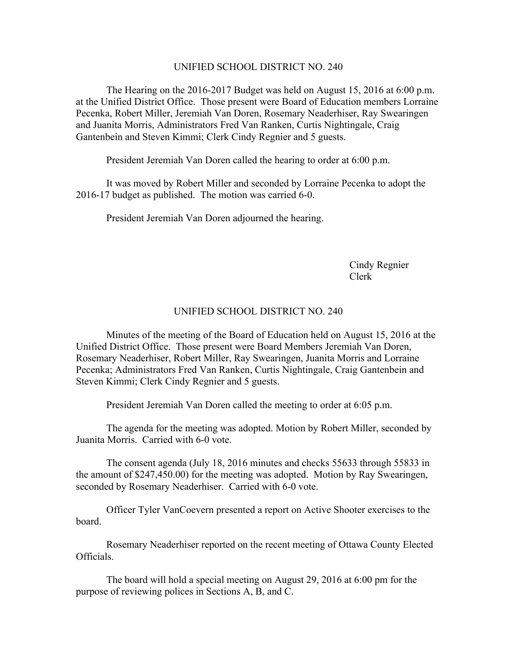## UNIFIED SCHOOL DISTRICT NO. 240

The Hearing on the 2016-2017 Budget was held on August 15, 2016 at 6:00 p.m. at the Unified District Office. Those present were Board of Education members Lorraine Pecenka, Robert Miller, Jeremiah Van Doren, Rosemary Neaderhiser, Ray Swearingen and Juanita Morris, Administrators Fred Van Ranken, Curtis Nightingale, Craig Gantenbein and Steven Kimmi; Clerk Cindy Regnier and 5 guests.

President Jeremiah Van Doren called the hearing to order at 6:00 p.m.

It was moved by Robert Miller and seconded by Lorraine Pecenka to adopt the 2016-17 budget as published. The motion was carried 6-0.

President Jeremiah Van Doren adjourned the hearing.

Cindy Regnier Clerk

## UNIFIED SCHOOL DISTRICT NO. 240

Minutes of the meeting of the Board of Education held on August 15, 2016 at the Unified District Office. Those present were Board Members Jeremiah Van Doren, Rosemary Neaderhiser, Robert Miller, Ray Swearingen, Juanita Morris and Lorraine Pecenka; Administrators Fred Van Ranken, Curtis Nightingale, Craig Gantenbein and Steven Kimmi; Clerk Cindy Regnier and 5 guests.

President Jeremiah Van Doren called the meeting to order at 6:05 p.m.

The agenda for the meeting was adopted. Motion by Robert Miller, seconded by Juanita Morris. Carried with 6-0 vote.

The consent agenda (July 18, 2016 minutes and checks 55633 through 55833 in the amount of \$247,450.00) for the meeting was adopted. Motion by Ray Swearingen, seconded by Rosemary Neaderhiser. Carried with 6-0 vote.

Officer Tyler VanCoevern presented a report on Active Shooter exercises to the board.

Rosemary Neaderhiser reported on the recent meeting of Ottawa County Elected Officials.

The board will hold a special meeting on August 29, 2016 at 6:00 pm for the purpose of reviewing polices in Sections A, B, and C.